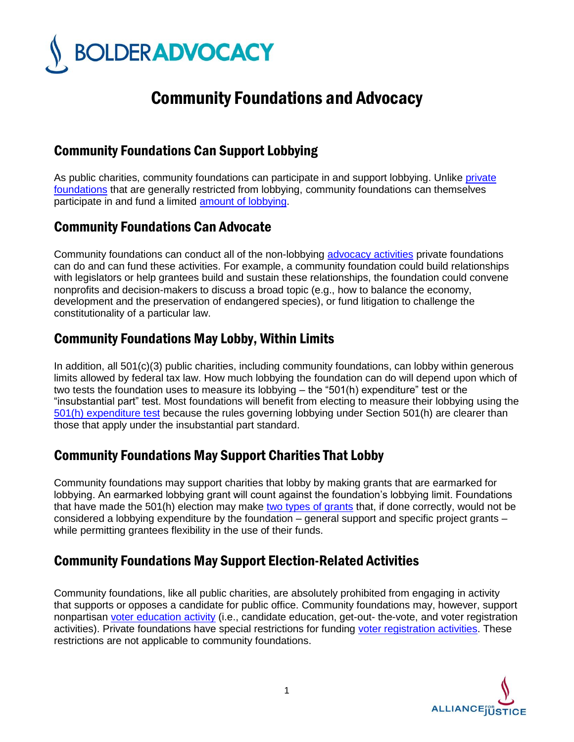

# Community Foundations and Advocacy

## Community Foundations Can Support Lobbying

As public charities, community foundations can participate in and support lobbying. Unlike private foundations that are generally restricted from lobbying, community foundations can themselves participate in and fund a limited amount of lobbying.

## Community Foundations Can Advocate

Community foundations can conduct all of the non-lobbying advocacy activities private foundations can do and can fund these activities. For example, a community foundation could build relationships with legislators or help grantees build and sustain these relationships, the foundation could convene nonprofits and decision-makers to discuss a broad topic (e.g., how to balance the economy, development and the preservation of endangered species), or fund litigation to challenge the constitutionality of a particular law.

## Community Foundations May Lobby, Within Limits

In addition, all 501(c)(3) public charities, including community foundations, can lobby within generous limits allowed by federal tax law. How much lobbying the foundation can do will depend upon which of two tests the foundation uses to measure its lobbying – the "501(h) expenditure" test or the "insubstantial part" test. Most foundations will benefit from electing to measure their lobbying using the 501(h) expenditure test because the rules governing lobbying under Section 501(h) are clearer than those that apply under the insubstantial part standard.

#### Community Foundations May Support Charities That Lobby

Community foundations may support charities that lobby by making grants that are earmarked for lobbying. An earmarked lobbying grant will count against the foundation's lobbying limit. Foundations that have made the 501(h) election may make two types of grants that, if done correctly, would not be considered a lobbying expenditure by the foundation – general support and specific project grants – while permitting grantees flexibility in the use of their funds.

## Community Foundations May Support Election-Related Activities

Community foundations, like all public charities, are absolutely prohibited from engaging in activity that supports or opposes a candidate for public office. Community foundations may, however, support nonpartisan voter education activity (i.e., candidate education, get-out- the-vote, and voter registration activities). Private foundations have special restrictions for funding voter registration activities. These restrictions are not applicable to community foundations.